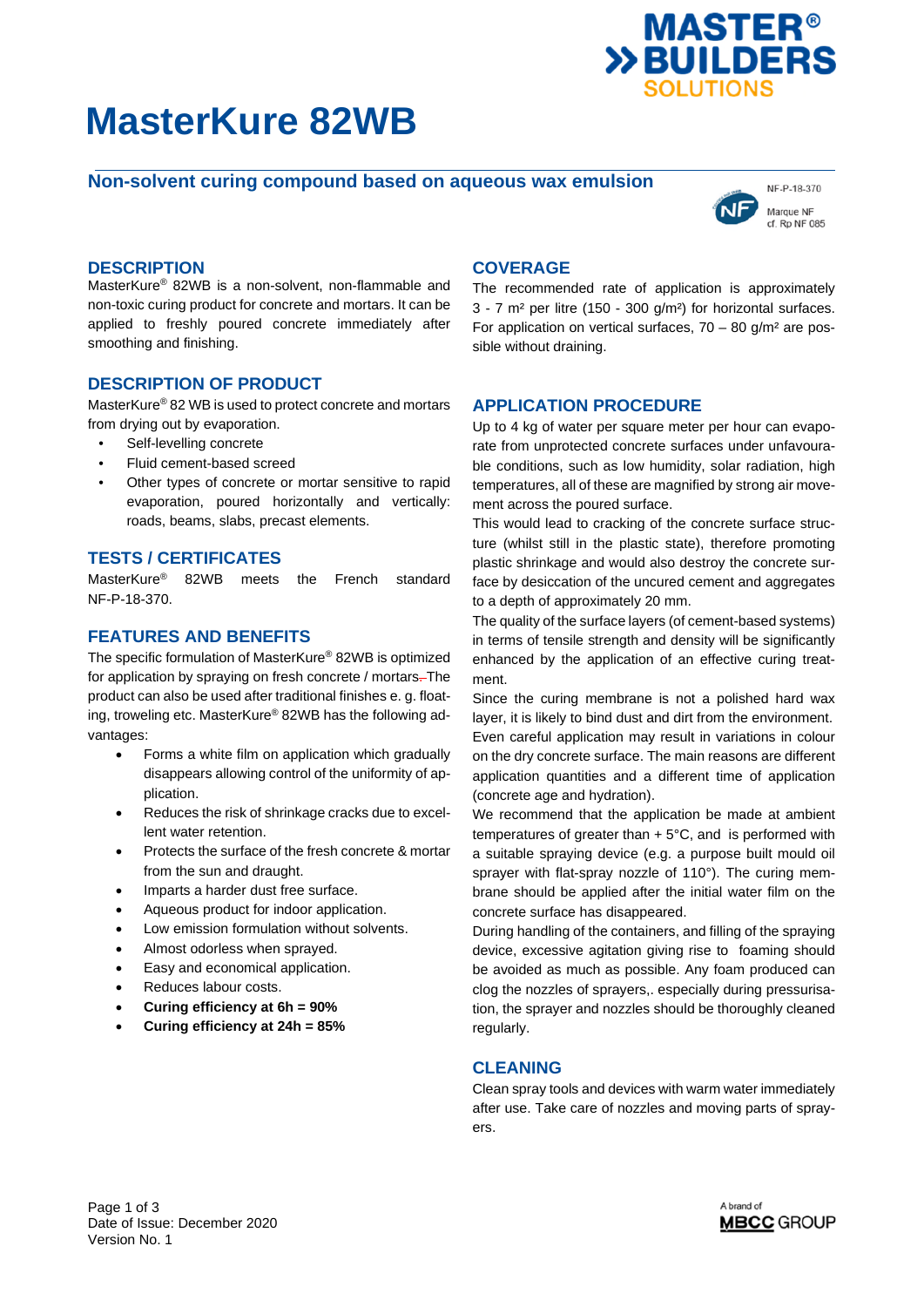# **MasterKure 82WB**



# **Non-solvent curing compound based on aqueous wax emulsion**



## **DESCRIPTION**

MasterKure® 82WB is a non-solvent, non-flammable and non-toxic curing product for concrete and mortars. It can be applied to freshly poured concrete immediately after smoothing and finishing.

#### **DESCRIPTION OF PRODUCT**

MasterKure® 82 WB is used to protect concrete and mortars from drying out by evaporation.

- Self-levelling concrete
- Fluid cement-based screed
- Other types of concrete or mortar sensitive to rapid evaporation, poured horizontally and vertically: roads, beams, slabs, precast elements.

#### **TESTS / CERTIFICATES**

MasterKure® 82WB meets the French standard NF-P-18-370.

## **FEATURES AND BENEFITS**

The specific formulation of MasterKure® 82WB is optimized for application by spraying on fresh concrete / mortars-The product can also be used after traditional finishes e. g. floating, troweling etc. MasterKure® 82WB has the following advantages:

- Forms a white film on application which gradually disappears allowing control of the uniformity of application.
- Reduces the risk of shrinkage cracks due to excellent water retention.
- Protects the surface of the fresh concrete & mortar from the sun and draught.
- Imparts a harder dust free surface.
- Aqueous product for indoor application.
- Low emission formulation without solvents.
- Almost odorless when sprayed.
- Easy and economical application.
- Reduces labour costs.
- **Curing efficiency at 6h = 90%**
- **Curing efficiency at 24h = 85%**

# **COVERAGE**

The recommended rate of application is approximately 3 - 7 m² per litre (150 - 300 g/m²) for horizontal surfaces. For application on vertical surfaces,  $70 - 80$  g/m<sup>2</sup> are possible without draining.

#### **APPLICATION PROCEDURE**

Up to 4 kg of water per square meter per hour can evaporate from unprotected concrete surfaces under unfavourable conditions, such as low humidity, solar radiation, high temperatures, all of these are magnified by strong air movement across the poured surface.

This would lead to cracking of the concrete surface structure (whilst still in the plastic state), therefore promoting plastic shrinkage and would also destroy the concrete surface by desiccation of the uncured cement and aggregates to a depth of approximately 20 mm.

The quality of the surface layers (of cement-based systems) in terms of tensile strength and density will be significantly enhanced by the application of an effective curing treatment.

Since the curing membrane is not a polished hard wax layer, it is likely to bind dust and dirt from the environment. Even careful application may result in variations in colour on the dry concrete surface. The main reasons are different application quantities and a different time of application (concrete age and hydration).

We recommend that the application be made at ambient temperatures of greater than  $+5^{\circ}$ C, and is performed with a suitable spraying device (e.g. a purpose built mould oil sprayer with flat-spray nozzle of 110°). The curing membrane should be applied after the initial water film on the concrete surface has disappeared.

During handling of the containers, and filling of the spraying device, excessive agitation giving rise to foaming should be avoided as much as possible. Any foam produced can clog the nozzles of sprayers,. especially during pressurisation, the sprayer and nozzles should be thoroughly cleaned regularly.

#### **CLEANING**

Clean spray tools and devices with warm water immediately after use. Take care of nozzles and moving parts of sprayers.

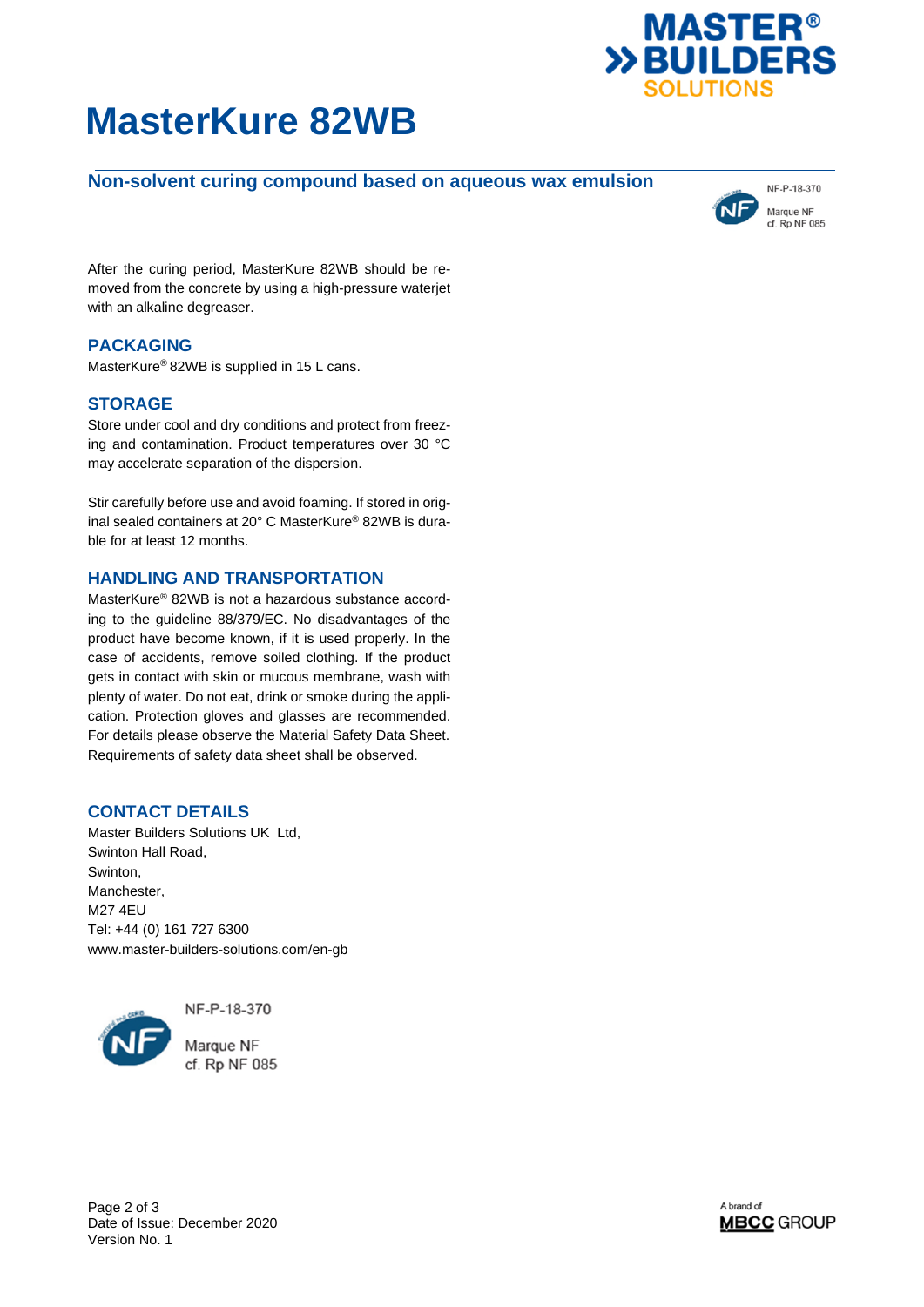



# **Non-solvent curing compound based on aqueous wax emulsion**



After the curing period, MasterKure 82WB should be removed from the concrete by using a high-pressure waterjet with an alkaline degreaser.

# **PACKAGING**

MasterKure® 82WB is supplied in 15 L cans.

## **STORAGE**

Store under cool and dry conditions and protect from freezing and contamination. Product temperatures over 30 °C may accelerate separation of the dispersion.

Stir carefully before use and avoid foaming. If stored in original sealed containers at 20° C MasterKure® 82WB is durable for at least 12 months.

### **HANDLING AND TRANSPORTATION**

MasterKure® 82WB is not a hazardous substance according to the guideline 88/379/EC. No disadvantages of the product have become known, if it is used properly. In the case of accidents, remove soiled clothing. If the product gets in contact with skin or mucous membrane, wash with plenty of water. Do not eat, drink or smoke during the application. Protection gloves and glasses are recommended. For details please observe the Material Safety Data Sheet. Requirements of safety data sheet shall be observed.

#### **CONTACT DETAILS**

Master Builders Solutions UK Ltd, Swinton Hall Road, Swinton, Manchester, M27 4EU Tel: +44 (0) 161 727 6300 www.master-builders-solutions.com/en-gb



NF-P-18-370

Marque NF cf. Rp NF 085

Page 2 of 3 Date of Issue: December 2020 Version No. 1